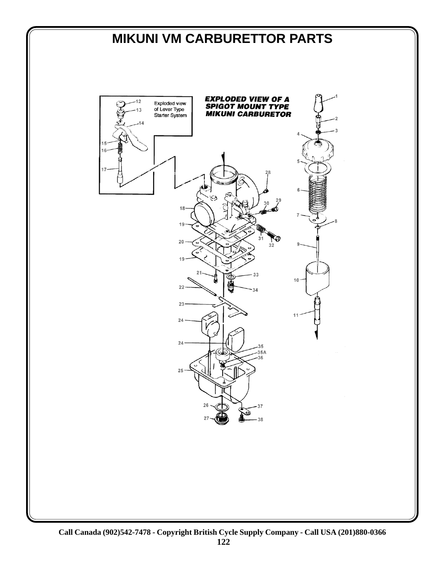